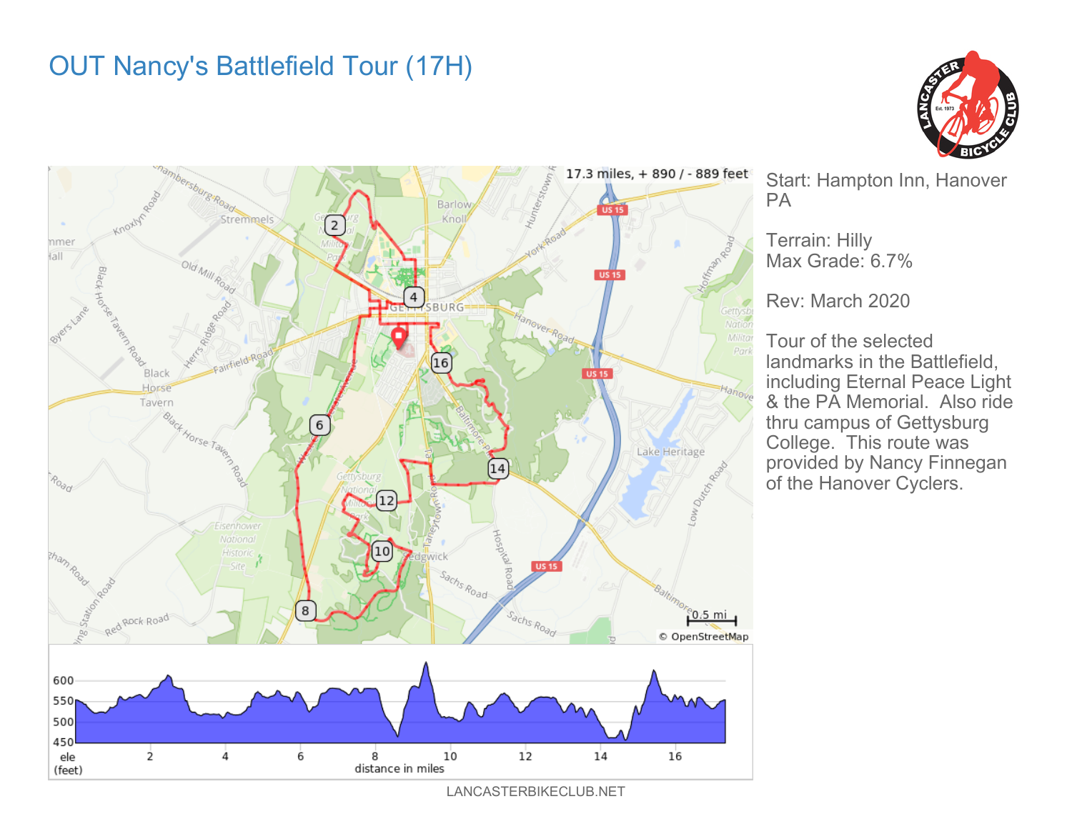## OUT Nancy's Battlefield Tour (17H)



Start: Hampton Inn, Hanover PA

Terrain: Hilly Max Grade: 6.7%

Rev: March 2020

Tour of the selected landmarks in the Battlefield, including Eternal Peace Light & the PA Memorial. Also ride thru campus of Gettysburg College. This route was provided by Nancy Finnegan of the Hanover Cyclers.

LANCASTERBIKECLUB.NET